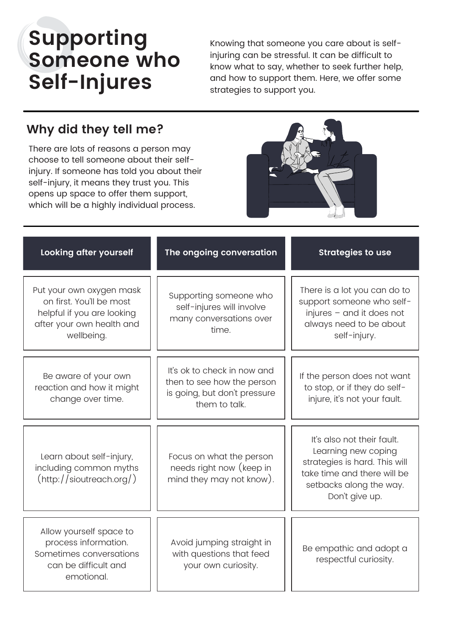## **Supporting Someone who Self-Injures**

Knowing that someone you care about is selfinjuring can be stressful. It can be difficult to know what to say, whether to seek further help, and how to support them. Here, we offer some strategies to support you.

## **Why did they tell me?**

There are lots of reasons a person may choose to tell someone about their selfinjury. If someone has told you about their self-injury, it means they trust you. This opens up space to offer them support, which will be a highly individual process.



| Looking after yourself                                                                                                        | The ongoing conversation                                                                                   | <b>Strategies to use</b>                                                                                                                                       |
|-------------------------------------------------------------------------------------------------------------------------------|------------------------------------------------------------------------------------------------------------|----------------------------------------------------------------------------------------------------------------------------------------------------------------|
| Put your own oxygen mask<br>on first. You'll be most<br>helpful if you are looking<br>after your own health and<br>wellbeing. | Supporting someone who<br>self-injures will involve<br>many conversations over<br>time.                    | There is a lot you can do to<br>support someone who self-<br>injures - and it does not<br>always need to be about<br>self-injury.                              |
| Be aware of your own<br>reaction and how it might<br>change over time.                                                        | It's ok to check in now and<br>then to see how the person<br>is going, but don't pressure<br>them to talk. | If the person does not want<br>to stop, or if they do self-<br>injure, it's not your fault.                                                                    |
| Learn about self-injury,<br>including common myths<br>$(\text{http://sioutreach.org/})$                                       | Focus on what the person<br>needs right now (keep in<br>mind they may not know).                           | It's also not their fault.<br>Learning new coping<br>strategies is hard. This will<br>take time and there will be<br>setbacks along the way.<br>Don't give up. |
| Allow yourself space to<br>process information.<br>Sometimes conversations<br>can be difficult and<br>emotional.              | Avoid jumping straight in<br>with questions that feed<br>your own curiosity.                               | Be empathic and adopt a<br>respectful curiosity.                                                                                                               |